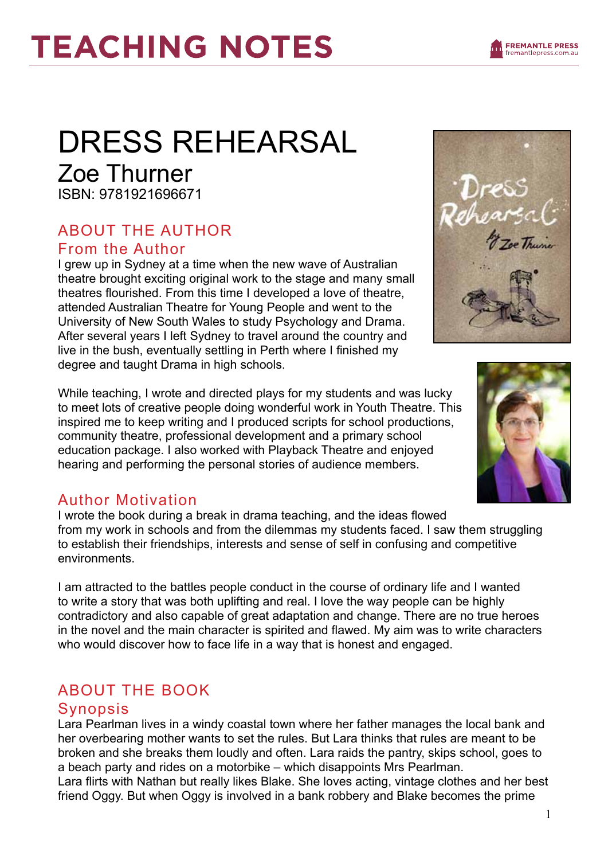# DRESS REHEARSAL

Zoe Thurner ISBN: 9781921696671

### ABOUT THE AUTHOR From the Author

I grew up in Sydney at a time when the new wave of Australian theatre brought exciting original work to the stage and many small theatres flourished. From this time I developed a love of theatre, attended Australian Theatre for Young People and went to the University of New South Wales to study Psychology and Drama. After several years I left Sydney to travel around the country and live in the bush, eventually settling in Perth where I finished my degree and taught Drama in high schools.

While teaching, I wrote and directed plays for my students and was lucky to meet lots of creative people doing wonderful work in Youth Theatre. This inspired me to keep writing and I produced scripts for school productions, community theatre, professional development and a primary school education package. I also worked with Playback Theatre and enjoyed hearing and performing the personal stories of audience members.

### Author Motivation

I wrote the book during a break in drama teaching, and the ideas flowed from my work in schools and from the dilemmas my students faced. I saw them struggling to establish their friendships, interests and sense of self in confusing and competitive environments.

I am attracted to the battles people conduct in the course of ordinary life and I wanted to write a story that was both uplifting and real. I love the way people can be highly contradictory and also capable of great adaptation and change. There are no true heroes in the novel and the main character is spirited and flawed. My aim was to write characters who would discover how to face life in a way that is honest and engaged.

### ABOUT THE BOOK

### Synopsis

Lara Pearlman lives in a windy coastal town where her father manages the local bank and her overbearing mother wants to set the rules. But Lara thinks that rules are meant to be broken and she breaks them loudly and often. Lara raids the pantry, skips school, goes to a beach party and rides on a motorbike – which disappoints Mrs Pearlman.

Lara flirts with Nathan but really likes Blake. She loves acting, vintage clothes and her best friend Oggy. But when Oggy is involved in a bank robbery and Blake becomes the prime



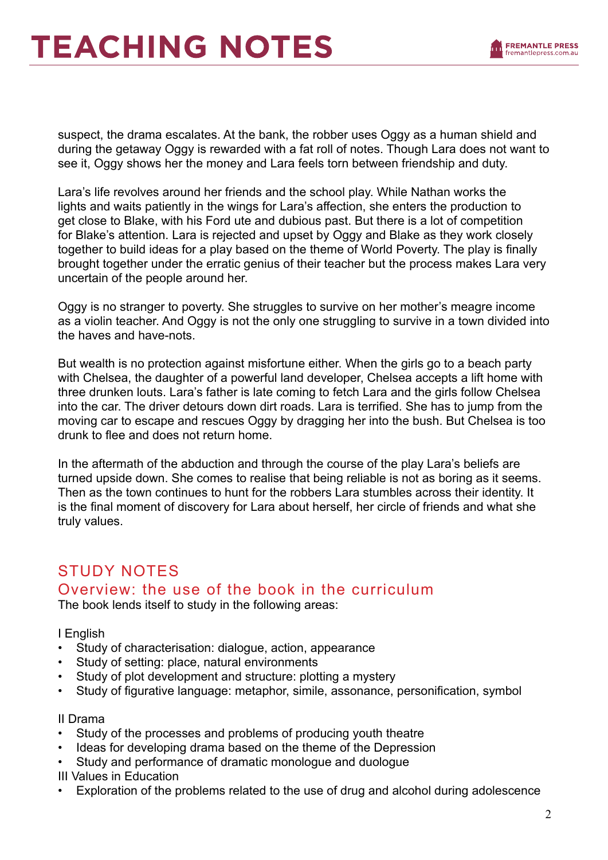

suspect, the drama escalates. At the bank, the robber uses Oggy as a human shield and during the getaway Oggy is rewarded with a fat roll of notes. Though Lara does not want to see it, Oggy shows her the money and Lara feels torn between friendship and duty.

Lara's life revolves around her friends and the school play. While Nathan works the lights and waits patiently in the wings for Lara's affection, she enters the production to get close to Blake, with his Ford ute and dubious past. But there is a lot of competition for Blake's attention. Lara is rejected and upset by Oggy and Blake as they work closely together to build ideas for a play based on the theme of World Poverty. The play is finally brought together under the erratic genius of their teacher but the process makes Lara very uncertain of the people around her.

Oggy is no stranger to poverty. She struggles to survive on her mother's meagre income as a violin teacher. And Oggy is not the only one struggling to survive in a town divided into the haves and have-nots.

But wealth is no protection against misfortune either. When the girls go to a beach party with Chelsea, the daughter of a powerful land developer, Chelsea accepts a lift home with three drunken louts. Lara's father is late coming to fetch Lara and the girls follow Chelsea into the car. The driver detours down dirt roads. Lara is terrified. She has to jump from the moving car to escape and rescues Oggy by dragging her into the bush. But Chelsea is too drunk to flee and does not return home.

In the aftermath of the abduction and through the course of the play Lara's beliefs are turned upside down. She comes to realise that being reliable is not as boring as it seems. Then as the town continues to hunt for the robbers Lara stumbles across their identity. It is the final moment of discovery for Lara about herself, her circle of friends and what she truly values.

#### STUDY NOTES Overview: the use of the book in the curriculum The book lends itself to study in the following areas:

I English

- Study of characterisation: dialogue, action, appearance
- Study of setting: place, natural environments
- Study of plot development and structure: plotting a mystery
- Study of figurative language: metaphor, simile, assonance, personification, symbol

#### II Drama

- Study of the processes and problems of producing youth theatre
- Ideas for developing drama based on the theme of the Depression
- Study and performance of dramatic monologue and duologue

III Values in Education

• Exploration of the problems related to the use of drug and alcohol during adolescence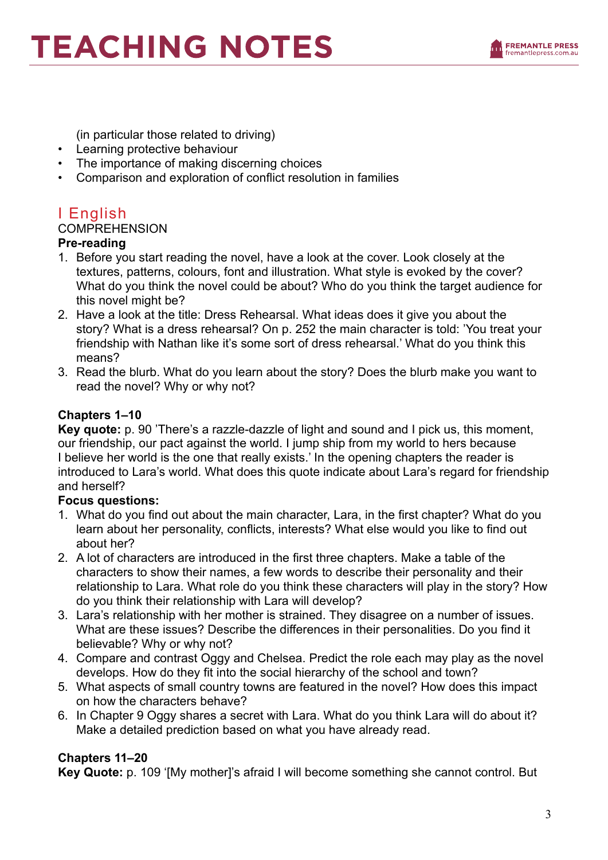

(in particular those related to driving)

- Learning protective behaviour
- The importance of making discerning choices
- Comparison and exploration of conflict resolution in families

### I English

#### **COMPREHENSION**

#### **Pre-reading**

- 1. Before you start reading the novel, have a look at the cover. Look closely at the textures, patterns, colours, font and illustration. What style is evoked by the cover? What do you think the novel could be about? Who do you think the target audience for this novel might be?
- 2. Have a look at the title: Dress Rehearsal. What ideas does it give you about the story? What is a dress rehearsal? On p. 252 the main character is told: 'You treat your friendship with Nathan like it's some sort of dress rehearsal.' What do you think this means?
- 3. Read the blurb. What do you learn about the story? Does the blurb make you want to read the novel? Why or why not?

#### **Chapters 1–10**

**Key quote:** p. 90 'There's a razzle-dazzle of light and sound and I pick us, this moment, our friendship, our pact against the world. I jump ship from my world to hers because I believe her world is the one that really exists.' In the opening chapters the reader is introduced to Lara's world. What does this quote indicate about Lara's regard for friendship and herself?

#### **Focus questions:**

- 1. What do you find out about the main character, Lara, in the first chapter? What do you learn about her personality, conflicts, interests? What else would you like to find out about her?
- 2. A lot of characters are introduced in the first three chapters. Make a table of the characters to show their names, a few words to describe their personality and their relationship to Lara. What role do you think these characters will play in the story? How do you think their relationship with Lara will develop?
- 3. Lara's relationship with her mother is strained. They disagree on a number of issues. What are these issues? Describe the differences in their personalities. Do you find it believable? Why or why not?
- 4. Compare and contrast Oggy and Chelsea. Predict the role each may play as the novel develops. How do they fit into the social hierarchy of the school and town?
- 5. What aspects of small country towns are featured in the novel? How does this impact on how the characters behave?
- 6. In Chapter 9 Oggy shares a secret with Lara. What do you think Lara will do about it? Make a detailed prediction based on what you have already read.

#### **Chapters 11–20**

**Key Quote:** p. 109 '[My mother]'s afraid I will become something she cannot control. But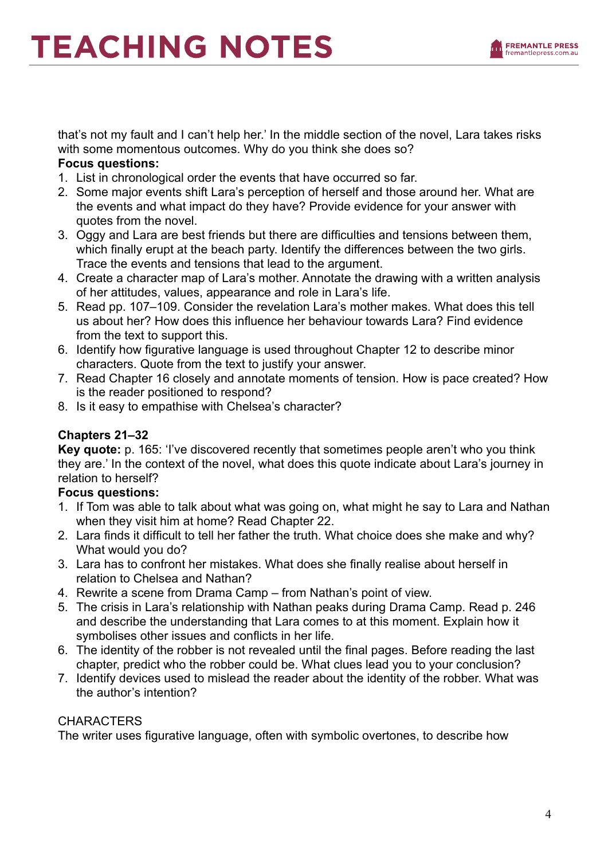

that's not my fault and I can't help her.' In the middle section of the novel, Lara takes risks with some momentous outcomes. Why do you think she does so?

#### **Focus questions:**

- 1. List in chronological order the events that have occurred so far.
- 2. Some major events shift Lara's perception of herself and those around her. What are the events and what impact do they have? Provide evidence for your answer with quotes from the novel.
- 3. Oggy and Lara are best friends but there are difficulties and tensions between them, which finally erupt at the beach party. Identify the differences between the two girls. Trace the events and tensions that lead to the argument.
- 4. Create a character map of Lara's mother. Annotate the drawing with a written analysis of her attitudes, values, appearance and role in Lara's life.
- 5. Read pp. 107–109. Consider the revelation Lara's mother makes. What does this tell us about her? How does this influence her behaviour towards Lara? Find evidence from the text to support this.
- 6. Identify how figurative language is used throughout Chapter 12 to describe minor characters. Quote from the text to justify your answer.
- 7. Read Chapter 16 closely and annotate moments of tension. How is pace created? How is the reader positioned to respond?
- 8. Is it easy to empathise with Chelsea's character?

#### **Chapters 21–32**

**Key quote:** p. 165: 'I've discovered recently that sometimes people aren't who you think they are.' In the context of the novel, what does this quote indicate about Lara's journey in relation to herself?

#### **Focus questions:**

- 1. If Tom was able to talk about what was going on, what might he say to Lara and Nathan when they visit him at home? Read Chapter 22.
- 2. Lara finds it difficult to tell her father the truth. What choice does she make and why? What would you do?
- 3. Lara has to confront her mistakes. What does she finally realise about herself in relation to Chelsea and Nathan?
- 4. Rewrite a scene from Drama Camp from Nathan's point of view.
- 5. The crisis in Lara's relationship with Nathan peaks during Drama Camp. Read p. 246 and describe the understanding that Lara comes to at this moment. Explain how it symbolises other issues and conflicts in her life.
- 6. The identity of the robber is not revealed until the final pages. Before reading the last chapter, predict who the robber could be. What clues lead you to your conclusion?
- 7. Identify devices used to mislead the reader about the identity of the robber. What was the author's intention?

#### **CHARACTERS**

The writer uses figurative language, often with symbolic overtones, to describe how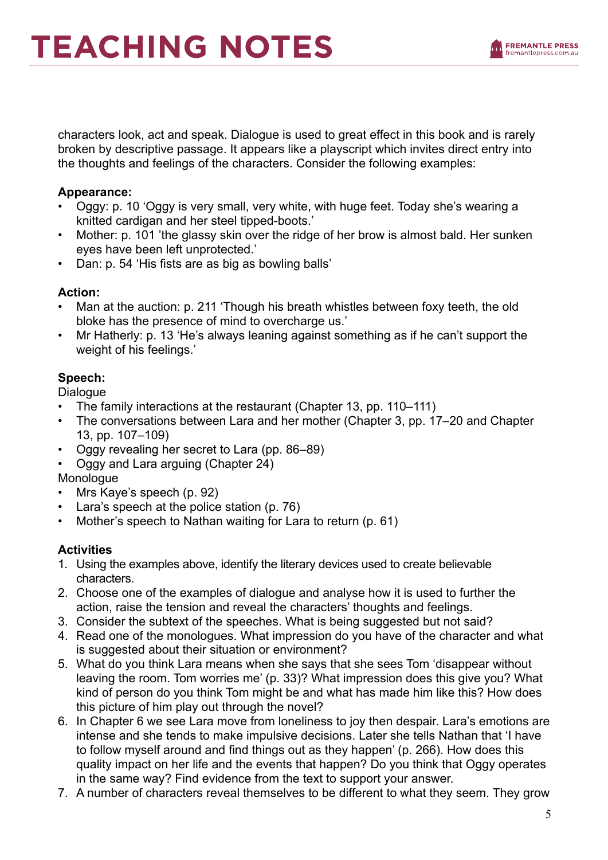

characters look, act and speak. Dialogue is used to great effect in this book and is rarely broken by descriptive passage. It appears like a playscript which invites direct entry into the thoughts and feelings of the characters. Consider the following examples:

#### **Appearance:**

- Oggy: p. 10 'Oggy is very small, very white, with huge feet. Today she's wearing a knitted cardigan and her steel tipped-boots.'
- Mother: p. 101 'the glassy skin over the ridge of her brow is almost bald. Her sunken eyes have been left unprotected.'
- Dan: p. 54 'His fists are as big as bowling balls'

#### **Action:**

- Man at the auction: p. 211 'Though his breath whistles between foxy teeth, the old bloke has the presence of mind to overcharge us.'
- Mr Hatherly: p. 13 'He's always leaning against something as if he can't support the weight of his feelings.'

#### **Speech:**

Dialogue

- The family interactions at the restaurant (Chapter 13, pp. 110–111)
- The conversations between Lara and her mother (Chapter 3, pp. 17–20 and Chapter 13, pp. 107–109)
- Oggy revealing her secret to Lara (pp. 86–89)
- Oggy and Lara arguing (Chapter 24)

Monologue

- Mrs Kaye's speech (p. 92)
- Lara's speech at the police station (p. 76)
- Mother's speech to Nathan waiting for Lara to return (p. 61)

#### **Activities**

- 1. Using the examples above, identify the literary devices used to create believable characters.
- 2. Choose one of the examples of dialogue and analyse how it is used to further the action, raise the tension and reveal the characters' thoughts and feelings.
- 3. Consider the subtext of the speeches. What is being suggested but not said?
- 4. Read one of the monologues. What impression do you have of the character and what is suggested about their situation or environment?
- 5. What do you think Lara means when she says that she sees Tom 'disappear without leaving the room. Tom worries me' (p. 33)? What impression does this give you? What kind of person do you think Tom might be and what has made him like this? How does this picture of him play out through the novel?
- 6. In Chapter 6 we see Lara move from loneliness to joy then despair. Lara's emotions are intense and she tends to make impulsive decisions. Later she tells Nathan that 'I have to follow myself around and find things out as they happen' (p. 266). How does this quality impact on her life and the events that happen? Do you think that Oggy operates in the same way? Find evidence from the text to support your answer.
- 7. A number of characters reveal themselves to be different to what they seem. They grow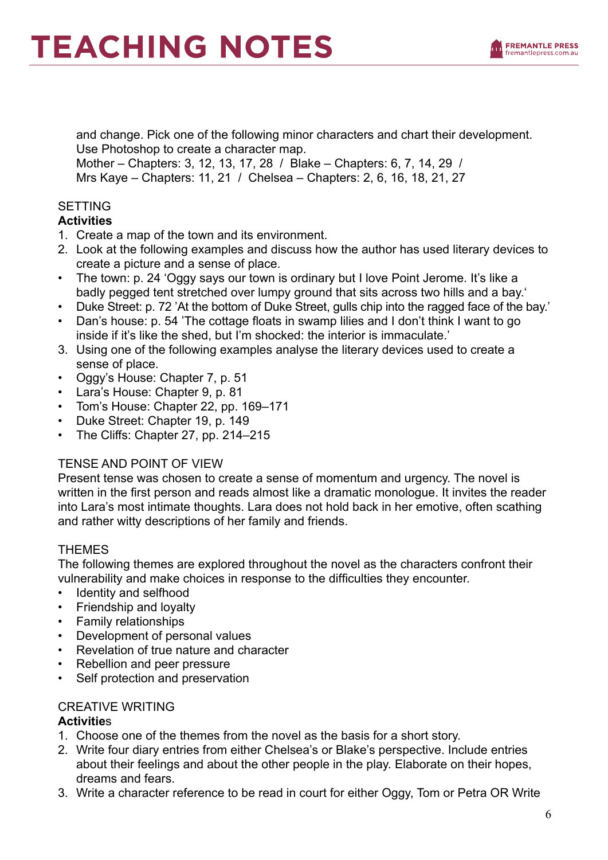

and change. Pick one of the following minor characters and chart their development. Use Photoshop to create a character map. Mother – Chapters: 3, 12, 13, 17, 28 / Blake – Chapters: 6, 7, 14, 29 / Mrs Kaye – Chapters: 11, 21 / Chelsea – Chapters: 2, 6, 16, 18, 21, 27

#### SETTING

#### **Activities**

- 1. Create a map of the town and its environment.
- 2. Look at the following examples and discuss how the author has used literary devices to create a picture and a sense of place.
- The town: p. 24 'Oggy says our town is ordinary but I love Point Jerome. It's like a badly pegged tent stretched over lumpy ground that sits across two hills and a bay.'
- Duke Street: p. 72 'At the bottom of Duke Street, gulls chip into the ragged face of the bay.'
- Dan's house: p. 54 'The cottage floats in swamp lilies and I don't think I want to go inside if it's like the shed, but I'm shocked: the interior is immaculate.'
- 3. Using one of the following examples analyse the literary devices used to create a sense of place.
- Oggy's House: Chapter 7, p. 51
- Lara's House: Chapter 9, p. 81
- Tom's House: Chapter 22, pp. 169–171
- Duke Street: Chapter 19, p. 149
- The Cliffs: Chapter 27, pp. 214–215

#### TENSE AND POINT OF VIEW

Present tense was chosen to create a sense of momentum and urgency. The novel is written in the first person and reads almost like a dramatic monologue. It invites the reader into Lara's most intimate thoughts. Lara does not hold back in her emotive, often scathing and rather witty descriptions of her family and friends.

#### THEMES

The following themes are explored throughout the novel as the characters confront their vulnerability and make choices in response to the difficulties they encounter.

- Identity and selfhood
- Friendship and loyalty
- Family relationships
- Development of personal values
- Revelation of true nature and character
- Rebellion and peer pressure
- Self protection and preservation

#### CREATIVE WRITING

#### **Activitie**s

- 1. Choose one of the themes from the novel as the basis for a short story.
- 2. Write four diary entries from either Chelsea's or Blake's perspective. Include entries about their feelings and about the other people in the play. Elaborate on their hopes, dreams and fears.
- 3. Write a character reference to be read in court for either Oggy, Tom or Petra OR Write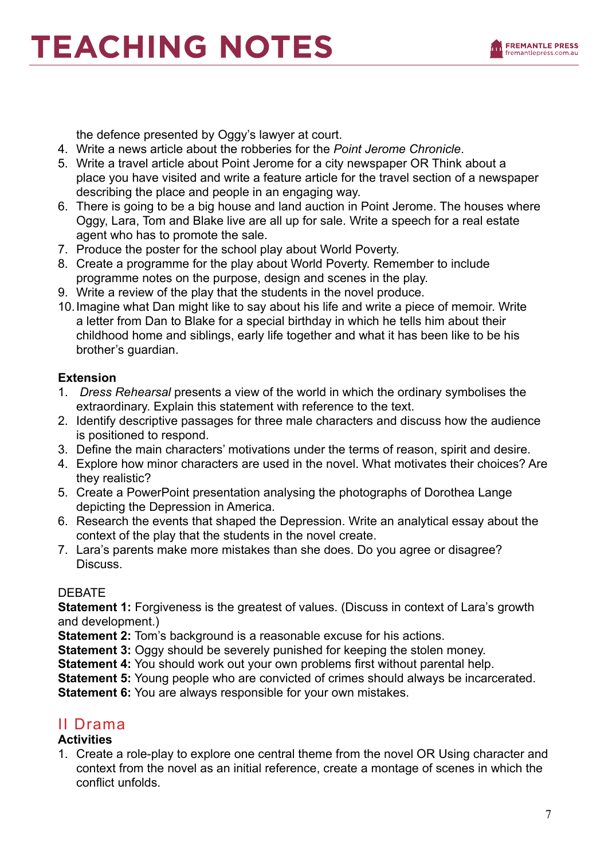the defence presented by Oggy's lawyer at court.

- 4. Write a news article about the robberies for the *Point Jerome Chronicle*.
- 5. Write a travel article about Point Jerome for a city newspaper OR Think about a place you have visited and write a feature article for the travel section of a newspaper describing the place and people in an engaging way.
- 6. There is going to be a big house and land auction in Point Jerome. The houses where Oggy, Lara, Tom and Blake live are all up for sale. Write a speech for a real estate agent who has to promote the sale.
- 7. Produce the poster for the school play about World Poverty.
- 8. Create a programme for the play about World Poverty. Remember to include programme notes on the purpose, design and scenes in the play.
- 9. Write a review of the play that the students in the novel produce.
- 10.Imagine what Dan might like to say about his life and write a piece of memoir. Write a letter from Dan to Blake for a special birthday in which he tells him about their childhood home and siblings, early life together and what it has been like to be his brother's guardian.

#### **Extension**

- 1. *Dress Rehearsal* presents a view of the world in which the ordinary symbolises the extraordinary. Explain this statement with reference to the text.
- 2. Identify descriptive passages for three male characters and discuss how the audience is positioned to respond.
- 3. Define the main characters' motivations under the terms of reason, spirit and desire.
- 4. Explore how minor characters are used in the novel. What motivates their choices? Are they realistic?
- 5. Create a PowerPoint presentation analysing the photographs of Dorothea Lange depicting the Depression in America.
- 6. Research the events that shaped the Depression. Write an analytical essay about the context of the play that the students in the novel create.
- 7. Lara's parents make more mistakes than she does. Do you agree or disagree? Discuss.

#### DEBATE

**Statement 1:** Forgiveness is the greatest of values. (Discuss in context of Lara's growth and development.)

**Statement 2:** Tom's background is a reasonable excuse for his actions.

**Statement 3:** Oggy should be severely punished for keeping the stolen money.

**Statement 4:** You should work out your own problems first without parental help.

**Statement 5:** Young people who are convicted of crimes should always be incarcerated.

**Statement 6:** You are always responsible for your own mistakes.

### II Drama

#### **Activities**

1. Create a role-play to explore one central theme from the novel OR Using character and context from the novel as an initial reference, create a montage of scenes in which the conflict unfolds.